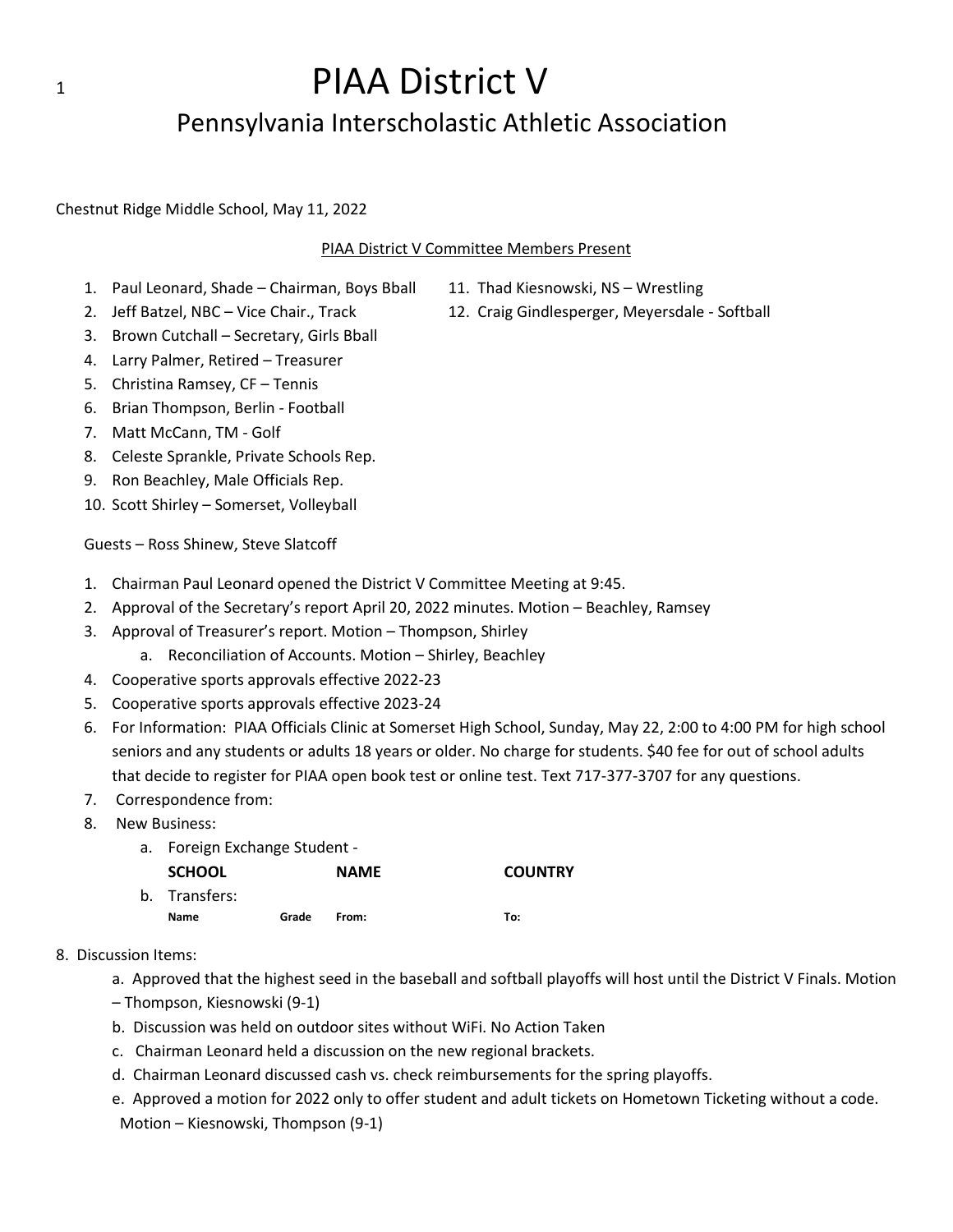## 1 **PIAA District V** Pennsylvania Interscholastic Athletic Association

Chestnut Ridge Middle School, May 11, 2022

#### PIAA District V Committee Members Present

- 1. Paul Leonard, Shade Chairman, Boys Bball 11. Thad Kiesnowski, NS Wrestling
- 
- 
- 2. Jeff Batzel, NBC Vice Chair., Track 12. Craig Gindlesperger, Meyersdale Softball
- 3. Brown Cutchall Secretary, Girls Bball
- 4. Larry Palmer, Retired Treasurer
- 5. Christina Ramsey, CF Tennis
- 6. Brian Thompson, Berlin Football
- 7. Matt McCann, TM Golf
- 8. Celeste Sprankle, Private Schools Rep.
- 9. Ron Beachley, Male Officials Rep.
- 10. Scott Shirley Somerset, Volleyball

Guests – Ross Shinew, Steve Slatcoff

- 1. Chairman Paul Leonard opened the District V Committee Meeting at 9:45.
- 2. Approval of the Secretary's report April 20, 2022 minutes. Motion Beachley, Ramsey
- 3. Approval of Treasurer's report. Motion Thompson, Shirley
	- a. Reconciliation of Accounts. Motion Shirley, Beachley
- 4. Cooperative sports approvals effective 2022-23
- 5. Cooperative sports approvals effective 2023-24
- 6. For Information: PIAA Officials Clinic at Somerset High School, Sunday, May 22, 2:00 to 4:00 PM for high school seniors and any students or adults 18 years or older. No charge for students. \$40 fee for out of school adults that decide to register for PIAA open book test or online test. Text 717-377-3707 for any questions.
- 7. Correspondence from:
- 8. New Business:
	- a. Foreign Exchange Student -

| <b>SCHOOL</b> |       | <b>NAME</b> | <b>COUNTRY</b> |
|---------------|-------|-------------|----------------|
| b. Transfers: |       |             |                |
| <b>Name</b>   | Grade | From:       | To:            |

#### 8. Discussion Items:

a. Approved that the highest seed in the baseball and softball playoffs will host until the District V Finals. Motion

- Thompson, Kiesnowski (9-1)
- b. Discussion was held on outdoor sites without WiFi. No Action Taken
- c. Chairman Leonard held a discussion on the new regional brackets.
- d. Chairman Leonard discussed cash vs. check reimbursements for the spring playoffs.
- e. Approved a motion for 2022 only to offer student and adult tickets on Hometown Ticketing without a code. Motion – Kiesnowski, Thompson (9-1)